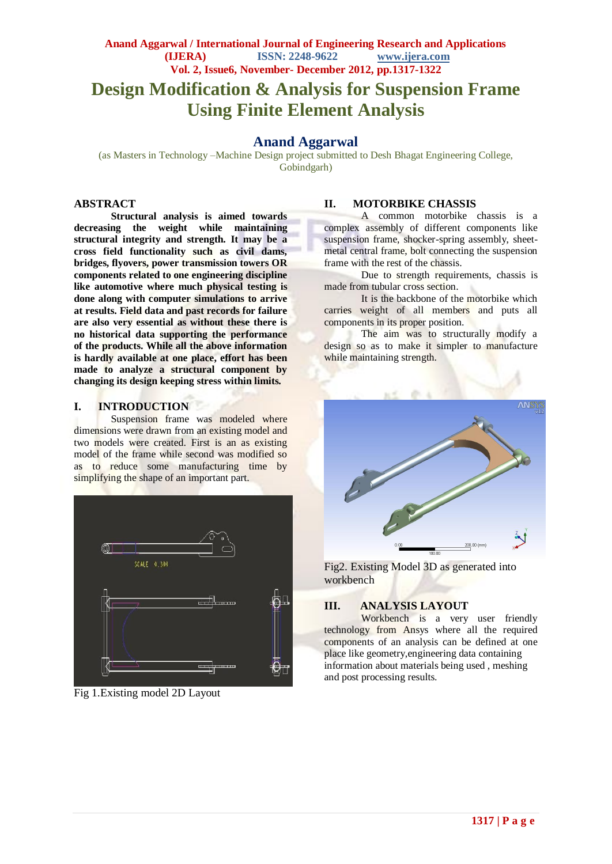# **Design Modification & Analysis for Suspension Frame Using Finite Element Analysis**

# **Anand Aggarwal**

(as Masters in Technology –Machine Design project submitted to Desh Bhagat Engineering College, Gobindgarh)

#### **ABSTRACT**

**Structural analysis is aimed towards decreasing the weight while maintaining structural integrity and strength. It may be a cross field functionality such as civil dams, bridges, flyovers, power transmission towers OR components related to one engineering discipline like automotive where much physical testing is done along with computer simulations to arrive at results. Field data and past records for failure are also very essential as without these there is no historical data supporting the performance of the products. While all the above information is hardly available at one place, effort has been made to analyze a structural component by changing its design keeping stress within limits.** 

#### **I. INTRODUCTION**

Suspension frame was modeled where dimensions were drawn from an existing model and two models were created. First is an as existing model of the frame while second was modified so as to reduce some manufacturing time by simplifying the shape of an important part.



Fig 1.Existing model 2D Layout

#### **II. MOTORBIKE CHASSIS**

A common motorbike chassis is a complex assembly of different components like suspension frame, shocker-spring assembly, sheetmetal central frame, bolt connecting the suspension frame with the rest of the chassis.

Due to strength requirements, chassis is made from tubular cross section.

It is the backbone of the motorbike which carries weight of all members and puts all components in its proper position.

The aim was to structurally modify a design so as to make it simpler to manufacture while maintaining strength.



Fig2. Existing Model 3D as generated into workbench

#### **III. ANALYSIS LAYOUT**

Workbench is a very user friendly technology from Ansys where all the required components of an analysis can be defined at one place like geometry,engineering data containing information about materials being used , meshing and post processing results.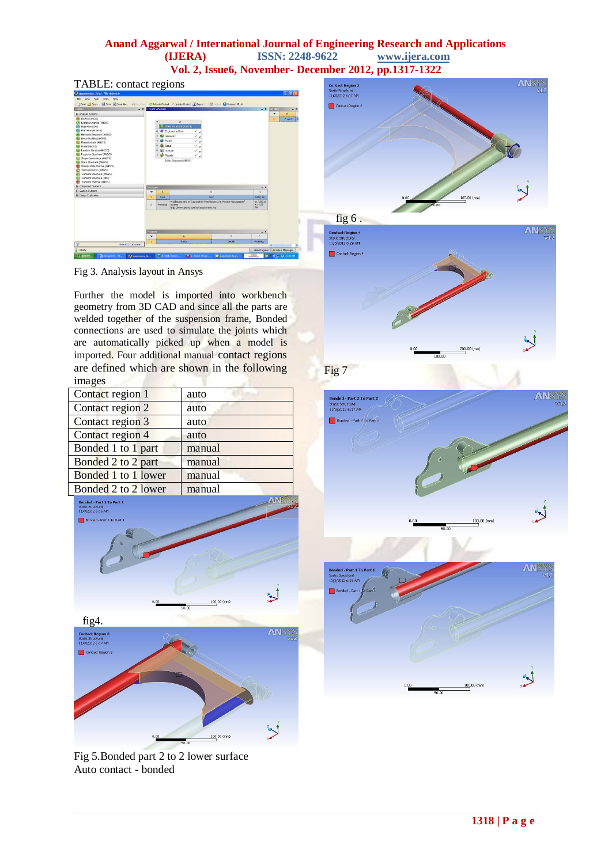## **Anand Aggarwal / International Journal of Engineering Research and Applications (IJERA) ISSN: 2248-9622 www.ijera.com Vol. 2, Issue6, November- December 2012, pp.1317-1322**

### TABLE: contact regions



Fig 3. Analysis layout in Ansys

Further the model is imported into workbench geometry from 3D CAD and since all the parts are welded together of the suspension frame, Bonded connections are used to simulate the joints which are automatically picked up when a model is imported. Four additional manual contact regions are defined which are shown in the following images

| Contact region 1    | auto   |
|---------------------|--------|
| Contact region 2    | auto   |
| Contact region 3    | auto   |
| Contact region 4    | auto   |
| Bonded 1 to 1 part  | manual |
| Bonded 2 to 2 part  | manual |
| Bonded 1 to 1 lower | manual |
| Bonded 2 to 2 lower | manual |













Fig 5.Bonded part 2 to 2 lower surface Auto contact - bonded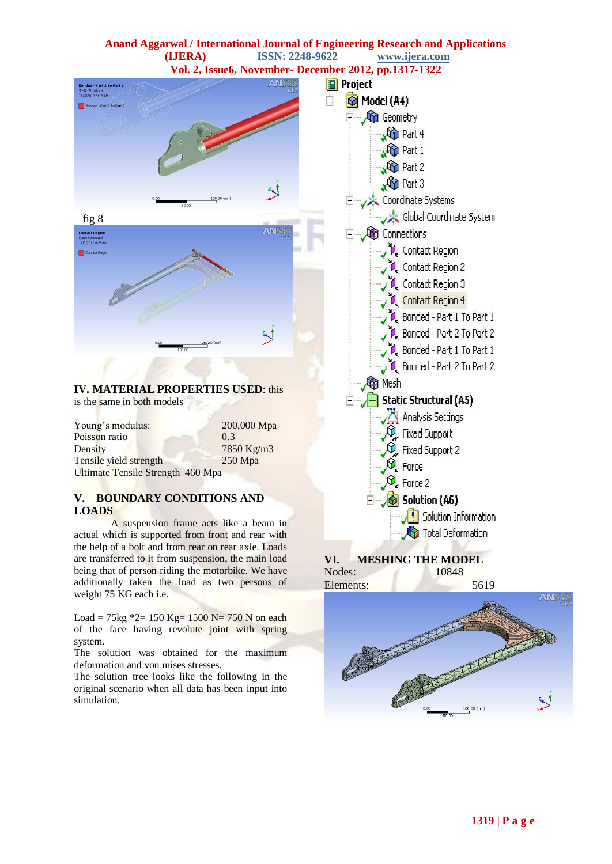

of the face having revolute joint with spring system.

The solution was obtained for the maximum deformation and von mises stresses.

The solution tree looks like the following in the original scenario when all data has been input into simulation.

**1319 | P a g e**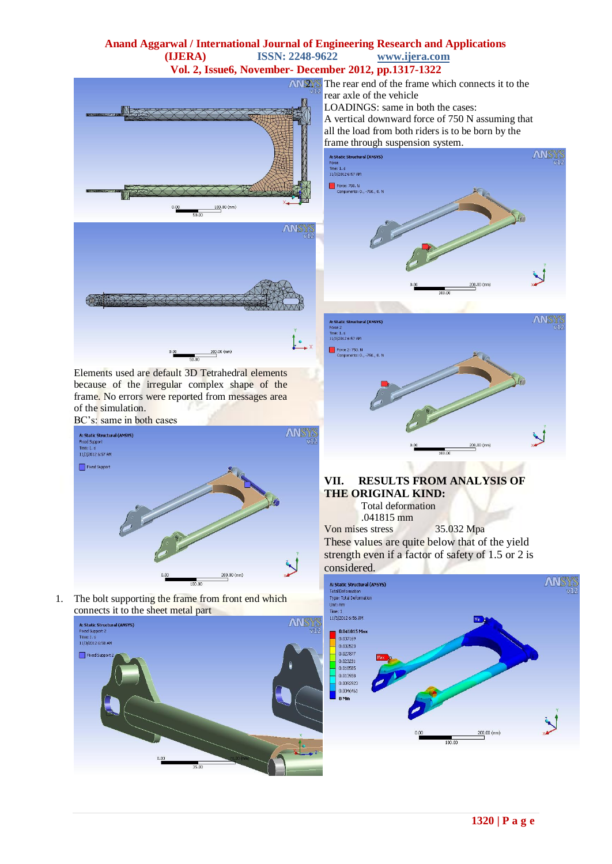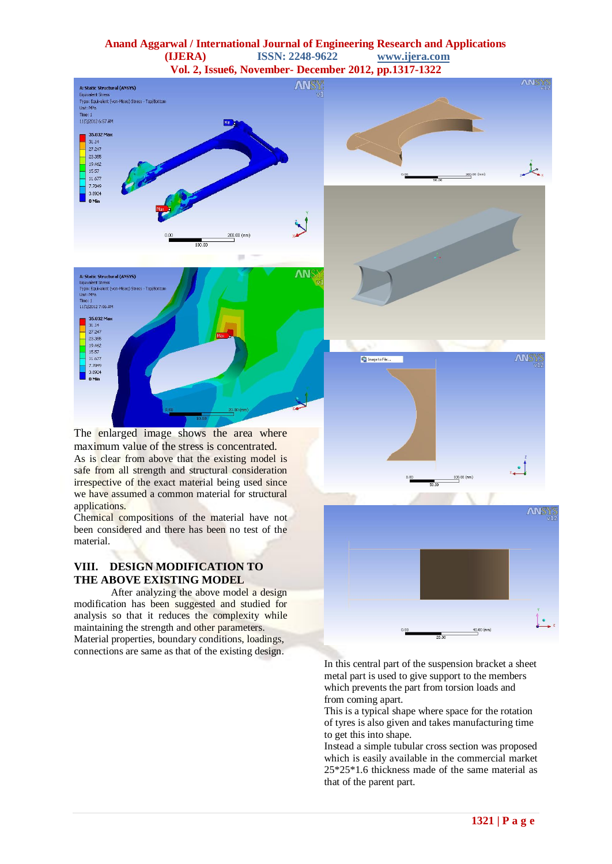### **Anand Aggarwal / International Journal of Engineering Research and Applications (IJERA) ISSN: 2248-9622 www.ijera.com Vol. 2, Issue6, November- December 2012, pp.1317-1322**





The enlarged image shows the area where maximum value of the stress is concentrated. As is clear from above that the existing model is safe from all strength and structural consideration irrespective of the exact material being used since we have assumed a common material for structural applications.

Chemical compositions of the material have not been considered and there has been no test of the material.

## **VIII. DESIGN MODIFICATION TO THE ABOVE EXISTING MODEL**

After analyzing the above model a design modification has been suggested and studied for analysis so that it reduces the complexity while maintaining the strength and other parameters. Material properties, boundary conditions, loadings, connections are same as that of the existing design.









In this central part of the suspension bracket a sheet metal part is used to give support to the members which prevents the part from torsion loads and from coming apart.

This is a typical shape where space for the rotation of tyres is also given and takes manufacturing time to get this into shape.

Instead a simple tubular cross section was proposed which is easily available in the commercial market 25\*25\*1.6 thickness made of the same material as that of the parent part.